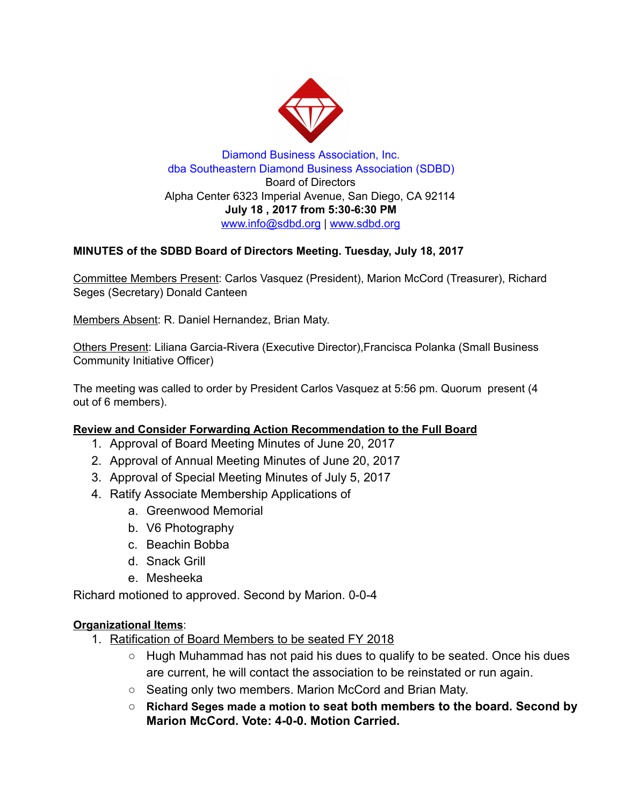

Diamond Business Association, Inc. dba Southeastern Diamond Business Association (SDBD) Board of Directors Alpha Center 6323 Imperial Avenue, San Diego, CA 92114 July 18 , 2017 from 5:30-6:30 PM www.info@sdbd.org | [www.sdbd.org](http://www.sdbd.org/)

## MINUTES of the SDBD Board of Directors Meeting. Tuesday, July 18, 2017

Committee Members Present: Carlos Vasquez (President), Marion McCord (Treasurer), Richard Seges (Secretary) Donald Canteen

Members Absent: R. Daniel Hernandez, Brian Maty.

Others Present: Liliana Garcia-Rivera (Executive Director),Francisca Polanka (Small Business Community Initiative Officer)

The meeting was called to order by President Carlos Vasquez at 5:56 pm. Quorum present (4 out of 6 members).

## Review and Consider Forwarding Action Recommendation to the Full Board

- 1. Approval of Board Meeting Minutes of June 20, 2017
- 2. Approval of Annual Meeting Minutes of June 20, 2017
- 3. Approval of Special Meeting Minutes of July 5, 2017
- 4. Ratify Associate Membership Applications of
	- a. Greenwood Memorial
	- b. V6 Photography
	- c. Beachin Bobba
	- d. Snack Grill
	- e. Mesheeka

Richard motioned to approved. Second by Marion. 0-0-4

## Organizational Items:

- 1. Ratification of Board Members to be seated FY 2018
	- $\circ$  Hugh Muhammad has not paid his dues to qualify to be seated. Once his dues are current, he will contact the association to be reinstated or run again.
	- Seating only two members. Marion McCord and Brian Maty.
	- Richard Seges made a motion to seat both members to the board. Second by Marion McCord. Vote: 4-0-0. Motion Carried.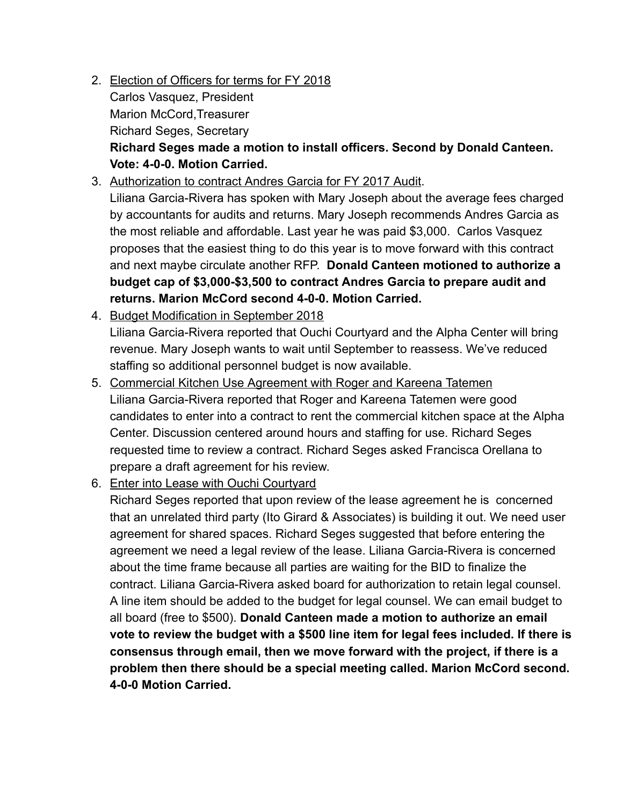- 2. Election of Officers for terms for FY 2018 Carlos Vasquez, President Marion McCord,Treasurer Richard Seges, Secretary Richard Seges made a motion to install officers. Second by Donald Canteen. Vote: 4-0-0. Motion Carried.
- 3. Authorization to contract Andres Garcia for FY 2017 Audit.

Liliana Garcia-Rivera has spoken with Mary Joseph about the average fees charged by accountants for audits and returns. Mary Joseph recommends Andres Garcia as the most reliable and affordable. Last year he was paid \$3,000. Carlos Vasquez proposes that the easiest thing to do this year is to move forward with this contract and next maybe circulate another RFP. Donald Canteen motioned to authorize a budget cap of \$3,000-\$3,500 to contract Andres Garcia to prepare audit and returns. Marion McCord second 4-0-0. Motion Carried.

- 4. Budget Modification in September 2018 Liliana Garcia-Rivera reported that Ouchi Courtyard and the Alpha Center will bring revenue. Mary Joseph wants to wait until September to reassess. We've reduced staffing so additional personnel budget is now available.
- 5. Commercial Kitchen Use Agreement with Roger and Kareena Tatemen Liliana Garcia-Rivera reported that Roger and Kareena Tatemen were good candidates to enter into a contract to rent the commercial kitchen space at the Alpha Center. Discussion centered around hours and staffing for use. Richard Seges requested time to review a contract. Richard Seges asked Francisca Orellana to prepare a draft agreement for his review.
- 6. Enter into Lease with Ouchi Courtyard

Richard Seges reported that upon review of the lease agreement he is concerned that an unrelated third party (Ito Girard & Associates) is building it out. We need user agreement for shared spaces. Richard Seges suggested that before entering the agreement we need a legal review of the lease. Liliana Garcia-Rivera is concerned about the time frame because all parties are waiting for the BID to finalize the contract. Liliana Garcia-Rivera asked board for authorization to retain legal counsel. A line item should be added to the budget for legal counsel. We can email budget to all board (free to \$500). Donald Canteen made a motion to authorize an email vote to review the budget with a \$500 line item for legal fees included. If there is consensus through email, then we move forward with the project, if there is a problem then there should be a special meeting called. Marion McCord second. 4-0-0 Motion Carried.